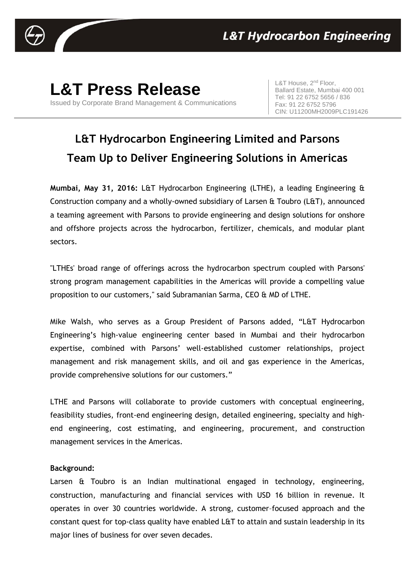

## **L&T Press Release**

Issued by Corporate Brand Management & Communications

L&T House, 2<sup>nd</sup> Floor. Ballard Estate, Mumbai 400 001 Tel: 91 22 6752 5656 / 836 Fax: 91 22 6752 5796 CIN: U11200MH2009PLC191426

## **L&T Hydrocarbon Engineering Limited and Parsons Team Up to Deliver Engineering Solutions in Americas**

**Mumbai, May 31, 2016:** L&T Hydrocarbon Engineering (LTHE), a leading Engineering & Construction company and a wholly-owned subsidiary of Larsen & Toubro (L&T), announced a teaming agreement with Parsons to provide engineering and design solutions for onshore and offshore projects across the hydrocarbon, fertilizer, chemicals, and modular plant sectors.

"LTHEs' broad range of offerings across the hydrocarbon spectrum coupled with Parsons' strong program management capabilities in the Americas will provide a compelling value proposition to our customers," said Subramanian Sarma, CEO & MD of LTHE.

Mike Walsh, who serves as a Group President of Parsons added, "L&T Hydrocarbon Engineering's high-value engineering center based in Mumbai and their hydrocarbon expertise, combined with Parsons' well-established customer relationships, project management and risk management skills, and oil and gas experience in the Americas, provide comprehensive solutions for our customers."

LTHE and Parsons will collaborate to provide customers with conceptual engineering, feasibility studies, front-end engineering design, detailed engineering, specialty and highend engineering, cost estimating, and engineering, procurement, and construction management services in the Americas.

## **Background:**

Larsen & Toubro is an Indian multinational engaged in technology, engineering, construction, manufacturing and financial services with USD 16 billion in revenue. It operates in over 30 countries worldwide. A strong, customer–focused approach and the constant quest for top-class quality have enabled L&T to attain and sustain leadership in its major lines of business for over seven decades.